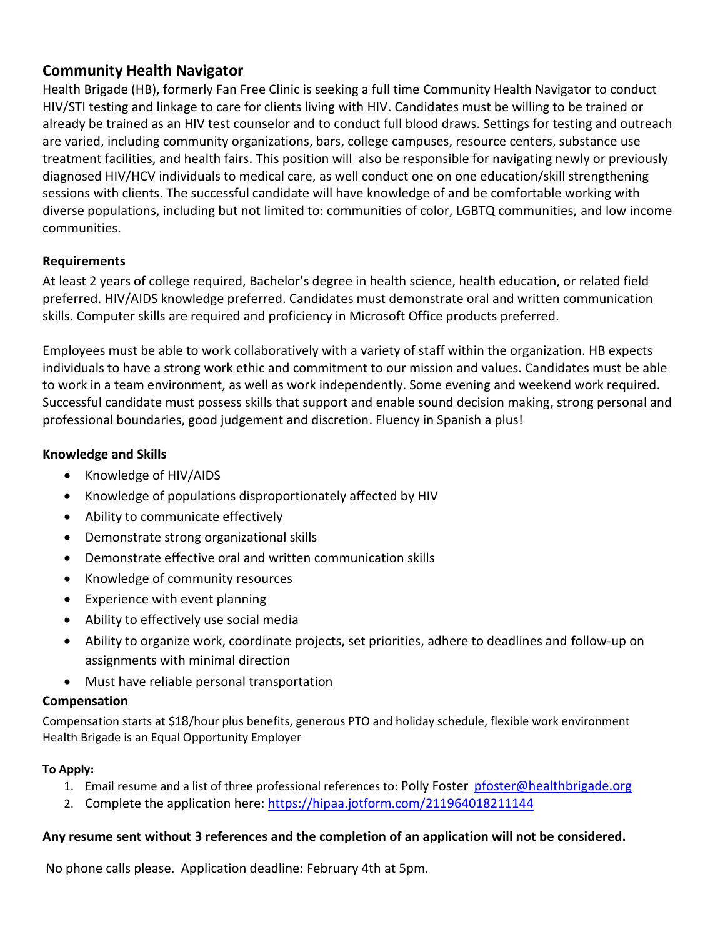# **Community Health Navigator**

Health Brigade (HB), formerly Fan Free Clinic is seeking a full time Community Health Navigator to conduct HIV/STI testing and linkage to care for clients living with HIV. Candidates must be willing to be trained or already be trained as an HIV test counselor and to conduct full blood draws. Settings for testing and outreach are varied, including community organizations, bars, college campuses, resource centers, substance use treatment facilities, and health fairs. This position will also be responsible for navigating newly or previously diagnosed HIV/HCV individuals to medical care, as well conduct one on one education/skill strengthening sessions with clients. The successful candidate will have knowledge of and be comfortable working with diverse populations, including but not limited to: communities of color, LGBTQ communities, and low income communities.

## **Requirements**

At least 2 years of college required, Bachelor's degree in health science, health education, or related field preferred. HIV/AIDS knowledge preferred. Candidates must demonstrate oral and written communication skills. Computer skills are required and proficiency in Microsoft Office products preferred.

Employees must be able to work collaboratively with a variety of staff within the organization. HB expects individuals to have a strong work ethic and commitment to our mission and values. Candidates must be able to work in a team environment, as well as work independently. Some evening and weekend work required. Successful candidate must possess skills that support and enable sound decision making, strong personal and professional boundaries, good judgement and discretion. Fluency in Spanish a plus!

### **Knowledge and Skills**

- Knowledge of HIV/AIDS
- Knowledge of populations disproportionately affected by HIV
- Ability to communicate effectively
- Demonstrate strong organizational skills
- Demonstrate effective oral and written communication skills
- Knowledge of community resources
- Experience with event planning
- Ability to effectively use social media
- Ability to organize work, coordinate projects, set priorities, adhere to deadlines and follow-up on assignments with minimal direction
- Must have reliable personal transportation

#### **Compensation**

Compensation starts at \$18/hour plus benefits, generous PTO and holiday schedule, flexible work environment Health Brigade is an Equal Opportunity Employer

## **To Apply:**

- 1. Email resume and a list of three professional references to: Polly Foster [pfoster@healthbrigade.org](mailto:pfoster@healthbrigade.org)
- 2. Complete the application here: <https://hipaa.jotform.com/211964018211144>

#### **Any resume sent without 3 references and the completion of an application will not be considered.**

No phone calls please. Application deadline: February 4th at 5pm.